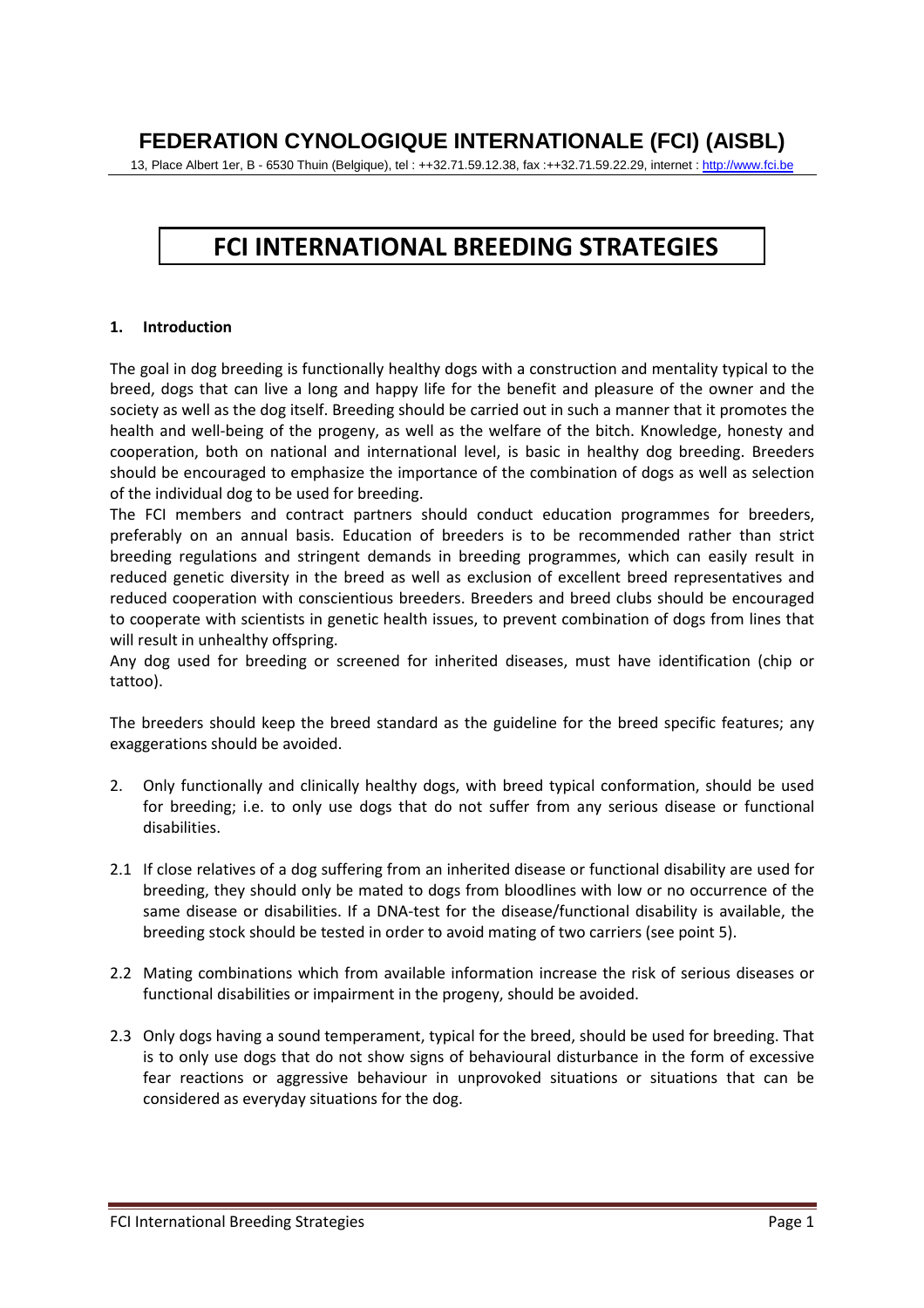## **FEDERATION CYNOLOGIQUE INTERNATIONALE (FCI) (AISBL)**

13, Place Albert 1er, B - 6530 Thuin (Belgique), tel : ++32.71.59.12.38, fax :++32.71.59.22.29, internet : http://www.fci.be

## **FCI INTERNATIONAL BREEDING STRATEGIES**

## **1. Introduction**

The goal in dog breeding is functionally healthy dogs with a construction and mentality typical to the breed, dogs that can live a long and happy life for the benefit and pleasure of the owner and the society as well as the dog itself. Breeding should be carried out in such a manner that it promotes the health and well-being of the progeny, as well as the welfare of the bitch. Knowledge, honesty and cooperation, both on national and international level, is basic in healthy dog breeding. Breeders should be encouraged to emphasize the importance of the combination of dogs as well as selection of the individual dog to be used for breeding.

The FCI members and contract partners should conduct education programmes for breeders, preferably on an annual basis. Education of breeders is to be recommended rather than strict breeding regulations and stringent demands in breeding programmes, which can easily result in reduced genetic diversity in the breed as well as exclusion of excellent breed representatives and reduced cooperation with conscientious breeders. Breeders and breed clubs should be encouraged to cooperate with scientists in genetic health issues, to prevent combination of dogs from lines that will result in unhealthy offspring.

Any dog used for breeding or screened for inherited diseases, must have identification (chip or tattoo).

The breeders should keep the breed standard as the guideline for the breed specific features; any exaggerations should be avoided.

- 2. Only functionally and clinically healthy dogs, with breed typical conformation, should be used for breeding; i.e. to only use dogs that do not suffer from any serious disease or functional disabilities.
- 2.1 If close relatives of a dog suffering from an inherited disease or functional disability are used for breeding, they should only be mated to dogs from bloodlines with low or no occurrence of the same disease or disabilities. If a DNA-test for the disease/functional disability is available, the breeding stock should be tested in order to avoid mating of two carriers (see point 5).
- 2.2 Mating combinations which from available information increase the risk of serious diseases or functional disabilities or impairment in the progeny, should be avoided.
- 2.3 Only dogs having a sound temperament, typical for the breed, should be used for breeding. That is to only use dogs that do not show signs of behavioural disturbance in the form of excessive fear reactions or aggressive behaviour in unprovoked situations or situations that can be considered as everyday situations for the dog.